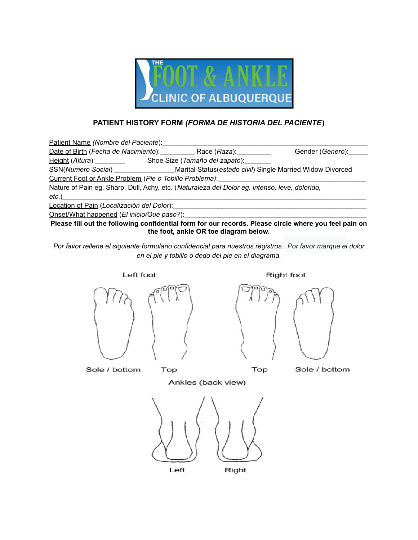

### **PATIENT HISTORY FORM** *(FORMA DE HISTORIA DEL PACIENTE***)**

| Patient Name (Nombre del Paciente):                                                                 |                                |                        |  |  |
|-----------------------------------------------------------------------------------------------------|--------------------------------|------------------------|--|--|
| Date of Birth (Fecha de Nacimiento): Race (Raza):                                                   |                                | Gender (Genero): _____ |  |  |
| Height (Altura):                                                                                    | Shoe Size (Tamaño del zapato): |                        |  |  |
| SSN(Numero Social) ______________________Marital Status(estado civil) Single Married Widow Divorced |                                |                        |  |  |
| Current Foot or Ankle Problem (Pie o Tobillo Problema):                                             |                                |                        |  |  |
| Nature of Pain eg. Sharp, Dull, Achy, etc. (Naturaleza del Dolor eg. intenso, leve, dolorido,       |                                |                        |  |  |
| etc.)                                                                                               |                                |                        |  |  |
| Location of Pain (Localización del Dolor):                                                          |                                |                        |  |  |
| Onset/What happened (El inicio/Que paso?):                                                          |                                |                        |  |  |

**Please fill out the following confidential form for our records. Please circle where you feel pain on the foot, ankle OR toe diagram below.**

*Por favor rellene el siguiente formulario confidencial para nuestros registros. Por favor marque el dolor en el pie y tobillo o dedo del pie en el diagrama.*



**Right foot** 

Sole / bottom

Top

Top

Sole / bottom

Ankles (back view)

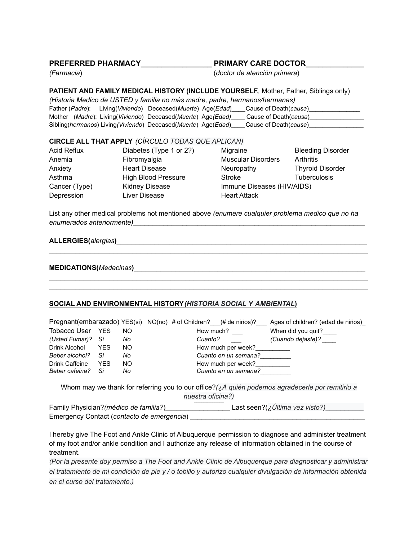#### **PREFERRED PHARMACY\_\_\_\_\_\_\_\_\_\_\_\_\_\_\_\_\_ PRIMARY CARE DOCTOR\_\_\_\_\_\_\_\_\_\_\_\_\_\_**

#### *(Farmacia*) (*doctor de atención primera*)

### **PATIENT AND FAMILY MEDICAL HISTORY (INCLUDE YOURSELF,** Mother, Father, Siblings only)

| (Historia Medico de USTED y familia no más madre, padre, hermanos/hermanas) |  |                                                                |  |                       |  |
|-----------------------------------------------------------------------------|--|----------------------------------------------------------------|--|-----------------------|--|
|                                                                             |  | Father (Padre): Living (Viviendo) Deceased (Muerte) Age (Edad) |  | Cause of Death(causa) |  |
|                                                                             |  | Mother (Madre): Living(Viviendo) Deceased(Muerte) Age(Edad)    |  | Cause of Death(causa) |  |
|                                                                             |  | Sibling(hermanos) Living(Viviendo) Deceased(Muerte) Age(Edad)  |  | Cause of Death(causa) |  |

#### **CIRCLE ALL THAT APPLY** *(CÍRCULO TODAS QUE APLICAN)*

| <b>Acid Reflux</b> | Diabetes (Type 1 or 2?)    | Migraine                   | <b>Bleeding Disorder</b> |
|--------------------|----------------------------|----------------------------|--------------------------|
| Anemia             | Fibromyalgia               | <b>Muscular Disorders</b>  | Arthritis                |
| Anxiety            | <b>Heart Disease</b>       | Neuropathy                 | <b>Thyroid Disorder</b>  |
| Asthma             | <b>High Blood Pressure</b> | Stroke                     | <b>Tuberculosis</b>      |
| Cancer (Type)      | <b>Kidney Disease</b>      | Immune Diseases (HIV/AIDS) |                          |
| Depression         | Liver Disease              | <b>Heart Attack</b>        |                          |

List any other medical problems not mentioned above *(enumere cualquier problema medico que no ha enumerados anteriormente)*\_\_\_\_\_\_\_\_\_\_\_\_\_\_\_\_\_\_\_\_\_\_\_\_\_\_\_\_\_\_\_\_\_\_\_\_\_\_\_\_\_\_\_\_\_\_\_\_\_\_\_\_\_\_\_\_\_\_\_\_\_

 $\mathcal{L}_\text{max}$  , and the contribution of the contribution of the contribution of the contribution of the contribution of the contribution of the contribution of the contribution of the contribution of the contribution of t

 $\mathcal{L}_\mathcal{L}$  , and the contribution of the contribution of the contribution of the contribution of the contribution of the contribution of the contribution of the contribution of the contribution of the contribution of  $\mathcal{L}_\text{max}$  , and the contribution of the contribution of the contribution of the contribution of the contribution of the contribution of the contribution of the contribution of the contribution of the contribution of t

#### **ALLERGIES(***alergias***)**\_\_\_\_\_\_\_\_\_\_\_\_\_\_\_\_\_\_\_\_\_\_\_\_\_\_\_\_\_\_\_\_\_\_\_\_\_\_\_\_\_\_\_\_\_\_\_\_\_\_\_\_\_\_\_\_\_\_\_\_\_\_\_\_\_\_

#### **MEDICATIONS(***Medecinas***)**

#### **SOCIAL AND ENVIRONMENTAL HISTORY***(HISTORIA SOCIAL Y AMBIENTAL***)**

|                                            |            |           | Pregnant(embarazado) YES(si) NO(no) # of Children? (# de niños)?                                                      | Ages of children? (edad de niños)      |
|--------------------------------------------|------------|-----------|-----------------------------------------------------------------------------------------------------------------------|----------------------------------------|
| Tobacco User                               | <b>YES</b> | NO        | How much?                                                                                                             | When did you quit?                     |
| (Usted Fumar)?                             | Si         | No        | Cuanto?                                                                                                               | (Cuando dejaste)? _____                |
| Drink Alcohol                              | <b>YES</b> | NO.       | How much per week?                                                                                                    |                                        |
| Beber alcohol?                             | Si         | No        | Cuanto en un semana?                                                                                                  |                                        |
| Drink Caffeine                             | <b>YES</b> | <b>NO</b> | How much per week?                                                                                                    |                                        |
| Beber cafeina?                             | Si         | No        | Cuanto en un semana?                                                                                                  |                                        |
|                                            |            |           | Whom may we thank for referring you to our office? (¿A quién podemos agradecerle por remitirlo a<br>nuestra oficina?) |                                        |
|                                            |            |           |                                                                                                                       |                                        |
| Family Physician? (médico de familia?)     |            |           |                                                                                                                       | Last seen?( $\zeta$ Última vez visto?) |
| Emergency Contact (contacto de emergencia) |            |           |                                                                                                                       |                                        |

I hereby give The Foot and Ankle Clinic of Albuquerque permission to diagnose and administer treatment of my foot and/or ankle condition and I authorize any release of information obtained in the course of treatment.

*(Por la presente doy permiso a The Foot and Ankle Clinic de Albuquerque para diagnosticar y administrar* el tratamiento de mi condición de pie y / o tobillo y autorizo cualquier divulgación de información obtenida *en el curso del tratamiento.)*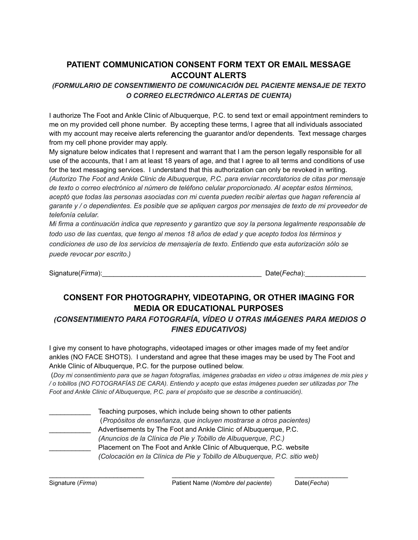# **PATIENT COMMUNICATION CONSENT FORM TEXT OR EMAIL MESSAGE ACCOUNT ALERTS**

### *(FORMULARIO DE CONSENTIMIENTO DE COMUNICACIÓN DEL PACIENTE MENSAJE DE TEXTO O CORREO ELECTRÓNICO ALERTAS DE CUENTA)*

I authorize The Foot and Ankle Clinic of Albuquerque, P.C. to send text or email appointment reminders to me on my provided cell phone number. By accepting these terms, I agree that all individuals associated with my account may receive alerts referencing the guarantor and/or dependents. Text message charges from my cell phone provider may apply.

My signature below indicates that I represent and warrant that I am the person legally responsible for all use of the accounts, that I am at least 18 years of age, and that I agree to all terms and conditions of use for the text messaging services. I understand that this authorization can only be revoked in writing. *(Autorizo The Foot and Ankle Clinic de Albuquerque, P.C. para enviar recordatorios de citas por mensaje de texto o correo electrónico al número de teléfono celular proporcionado. Al aceptar estos términos, aceptó que todas las personas asociadas con mi cuenta pueden recibir alertas que hagan referencia al* garante y / o dependientes. Es posible que se apliquen cargos por mensajes de texto de mi proveedor de *telefonía celular.*

*Mi firma a continuación indica que represento y garantizo que soy la persona legalmente responsable de* todo uso de las cuentas, que tengo al menos 18 años de edad y que acepto todos los términos y *condiciones de uso de los servicios de mensajería de texto. Entiendo que esta autorización sólo se puede revocar por escrito.)*

Signature(*Firma*):\_\_\_\_\_\_\_\_\_\_\_\_\_\_\_\_\_\_\_\_\_\_\_\_\_\_\_\_\_\_\_\_\_\_\_\_\_\_\_\_\_\_ Date(*Fecha*):\_\_\_\_\_\_\_\_\_\_\_\_\_\_\_\_

# **CONSENT FOR PHOTOGRAPHY, VIDEOTAPING, OR OTHER IMAGING FOR MEDIA OR EDUCATIONAL PURPOSES**

### *(CONSENTIMIENTO PARA FOTOGRAFÍA, VÍDEO U OTRAS IMÁGENES PARA MEDIOS O FINES EDUCATIVOS)*

I give my consent to have photographs, videotaped images or other images made of my feet and/or ankles (NO FACE SHOTS). I understand and agree that these images may be used by The Foot and Ankle Clinic of Albuquerque, P.C. for the purpose outlined below.

(*Doy mi consentimiento para que se hagan fotografías, imágenes grabadas en video u otras imágenes de mis pies y / o tobillos (NO FOTOGRAFÍAS DE CARA). Entiendo y acepto que estas imágenes pueden ser utilizadas por The Foot and Ankle Clinic of Albuquerque, P.C. para el propósito que se describe a continuación).*

\_\_\_\_\_\_\_\_\_\_\_ Teaching purposes, which include being shown to other patients (*Propósitos de enseñanza, que incluyen mostrarse a otros pacientes)* Advertisements by The Foot and Ankle Clinic of Albuquerque, P.C. *(Anuncios de la Clínica de Pie y Tobillo de Albuquerque, P.C.)* Placement on The Foot and Ankle Clinic of Albuquerque, P.C. website *(Colocación en la Clínica de Pie y Tobillo de Albuquerque, P.C. sitio web)*

\_\_\_\_\_\_\_\_\_\_\_\_\_\_\_\_\_\_\_\_\_\_\_\_\_ \_\_\_\_\_\_\_\_\_\_\_\_\_\_\_\_\_\_\_\_\_\_\_\_\_\_\_ \_\_\_\_\_\_\_\_\_\_\_\_\_\_

Signature (*Firma*) Patient Name (*Nombre del paciente*) Date(*Fecha*)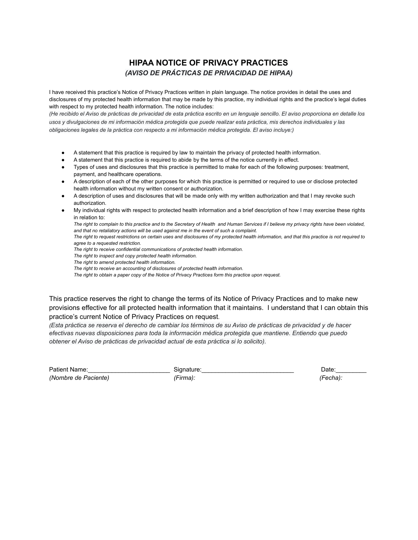### **HIPAA NOTICE OF PRIVACY PRACTICES** *(AVISO DE PRÁCTICAS DE PRIVACIDAD DE HIPAA)*

I have received this practice's Notice of Privacy Practices written in plain language. The notice provides in detail the uses and disclosures of my protected health information that may be made by this practice, my individual rights and the practice's legal duties with respect to my protected health information. The notice includes:

(He recibido el Aviso de prácticas de privacidad de esta práctica escrito en un lenguaje sencillo. El aviso proporciona en detalle los usos y divulgaciones de mi información médica protegida que puede realizar esta práctica, mis derechos individuales y las *obligaciones legales de la práctica con respecto a mi información médica protegida. El aviso incluye:)*

- A statement that this practice is required by law to maintain the privacy of protected health information.
- A statement that this practice is required to abide by the terms of the notice currently in effect.
- Types of uses and disclosures that this practice is permitted to make for each of the following purposes: treatment, payment, and healthcare operations.
- A description of each of the other purposes for which this practice is permitted or required to use or disclose protected health information without my written consent or authorization.
- A description of uses and disclosures that will be made only with my written authorization and that I may revoke such authorization.
- My individual rights with respect to protected health information and a brief description of how I may exercise these rights in relation to:

The right to complain to this practice and to the Secretary of Health and Human Services if I believe my privacy rights have been violated, *and that no retaliatory actions will be used against me in the event of such a complaint.*

The right to request restrictions on certain uses and disclosures of my protected health information, and that this practice is not required to *agree to a requested restriction.*

*The right to receive confidential communications of protected health information.*

- *The right to inspect and copy protected health information.*
- *The right to amend protected health information.*

*The right to receive an accounting of disclosures of protected health information.*

The right to obtain a paper copy of the Notice of Privacy Practices form this practice upon request.

This practice reserves the right to change the terms of its Notice of Privacy Practices and to make new provisions effective for all protected health information that it maintains. I understand that I can obtain this practice's current Notice of Privacy Practices on request.

*(Esta práctica se reserva el derecho de cambiar los términos de su Aviso de prácticas de privacidad y de hacer efectivas nuevas disposiciones para toda la información médica protegida que mantiene. Entiendo que puedo obtener el Aviso de prácticas de privacidad actual de esta práctica si lo solicito).*

| Patient Name:        | Sianature. | Date    |
|----------------------|------------|---------|
| (Nombre de Paciente) | Firma)     | (Fecha) |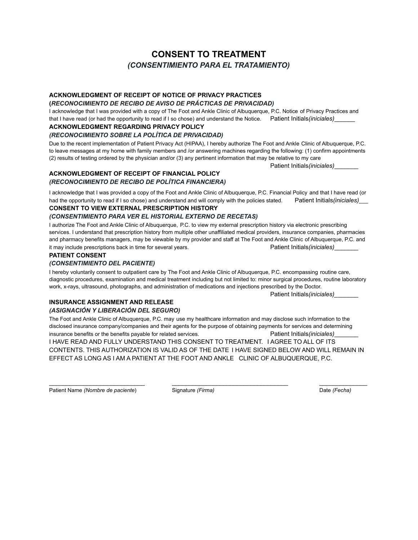## **CONSENT TO TREATMENT** *(CONSENTIMIENTO PARA EL TRATAMIENTO)*

#### **ACKNOWLEDGMENT OF RECEIPT OF NOTICE OF PRIVACY PRACTICES**

#### **(***RECONOCIMIENTO DE RECIBO DE AVISO DE PRÁCTICAS DE PRIVACIDAD)*

I acknowledge that I was provided with a copy of The Foot and Ankle Clinic of Albuquerque, P.C. Notice of Privacy Practices and that I have read (or had the opportunity to read if I so chose) and understand the Notice. Patient Initials*(iniciales)*\_\_\_\_\_\_

#### **ACKNOWLEDGMENT REGARDING PRIVACY POLICY**

#### *(RECONOCIMIENTO SOBRE LA POLÍTICA DE PRIVACIDAD)*

Due to the recent implementation of Patient Privacy Act (HIPAA), I hereby authorize The Foot and Ankle Clinic of Albuquerque, P.C. to leave messages at my home with family members and /or answering machines regarding the following: (1) confirm appointments (2) results of testing ordered by the physician and/or (3) any pertinent information that may be relative to my care

Patient Initials*(iniciales)*\_\_\_\_\_\_\_

#### **ACKNOWLEDGMENT OF RECEIPT OF FINANCIAL POLICY** *(RECONOCIMIENTO DE RECIBO DE POLÍTICA FINANCIERA)*

I acknowledge that I was provided a copy of the Foot and Ankle Clinic of Albuquerque, P.C. Financial Policy and that I have read (or had the opportunity to read if I so chose) and understand and will comply with the policies stated. Patient Initials*(iniciales)*\_\_\_

#### **CONSENT TO VIEW EXTERNAL PRESCRIPTION HISTORY**

#### *(CONSENTIMIENTO PARA VER EL HISTORIAL EXTERNO DE RECETAS)*

I authorize The Foot and Ankle Clinic of Albuquerque, P.C. to view my external prescription history via electronic prescribing services. I understand that prescription history from multiple other unaffiliated medical providers, insurance companies, pharmacies and pharmacy benefits managers, may be viewable by my provider and staff at The Foot and Ankle Clinic of Albuquerque, P.C. and it may include prescriptions back in time for several years. Patient Initials (iniciales)\_

#### **PATIENT CONSENT**

#### *(CONSENTIMIENTO DEL PACIENTE)*

I hereby voluntarily consent to outpatient care by The Foot and Ankle Clinic of Albuquerque, P.C. encompassing routine care, diagnostic procedures, examination and medical treatment including but not limited to: minor surgical procedures, routine laboratory work, x-rays, ultrasound, photographs, and administration of medications and injections prescribed by the Doctor.

Patient Initials*(iniciales)\_*\_\_\_\_\_\_

### **INSURANCE ASSIGNMENT AND RELEASE**

### *(ASIGNACIÓN Y LIBERACIÓN DEL SEGURO)*

The Foot and Ankle Clinic of Albuquerque, P.C. may use my healthcare information and may disclose such information to the disclosed insurance company/companies and their agents for the purpose of obtaining payments for services and determining insurance benefits or the benefits payable for related services. Patient Initials (iniciales) I HAVE READ AND FULLY UNDERSTAND THIS CONSENT TO TREATMENT. I AGREE TO ALL OF ITS

CONTENTS. THIS AUTHORIZATION IS VALID AS OF THE DATE I HAVE SIGNED BELOW AND WILL REMAIN IN EFFECT AS LONG AS I AM A PATIENT AT THE FOOT AND ANKLE CLINIC OF ALBUQUERQUE, P.C.

\_\_\_\_\_\_\_\_\_\_\_\_\_\_\_\_\_\_\_\_\_\_\_\_\_\_\_\_ \_\_\_\_\_\_\_\_\_\_\_\_\_\_\_\_\_\_\_\_\_\_\_\_\_\_\_\_\_\_\_\_\_\_ \_\_\_\_\_\_\_\_\_\_\_\_\_\_

Patient Name *(Nombre de paciente*) Signature *(Firma)* Date *(Fecha)*